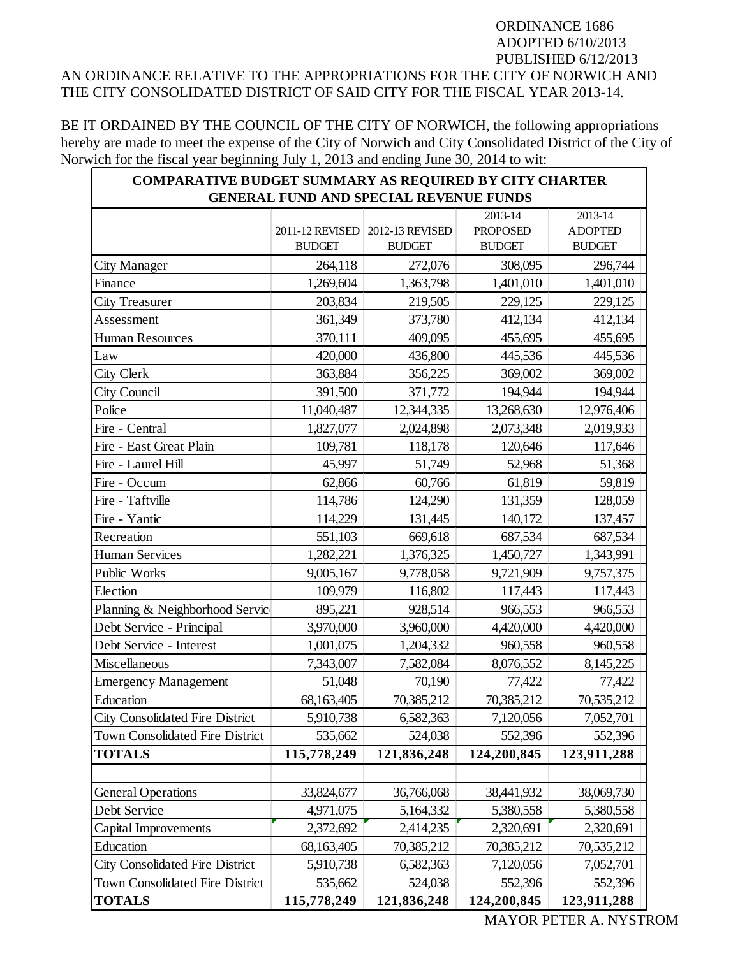## ORDINANCE 1686 ADOPTED 6/10/2013 PUBLISHED 6/12/2013 AN ORDINANCE RELATIVE TO THE APPROPRIATIONS FOR THE CITY OF NORWICH AND THE CITY CONSOLIDATED DISTRICT OF SAID CITY FOR THE FISCAL YEAR 2013-14.

BE IT ORDAINED BY THE COUNCIL OF THE CITY OF NORWICH, the following appropriations hereby are made to meet the expense of the City of Norwich and City Consolidated District of the City of Norwich for the fiscal year beginning July 1, 2013 and ending June 30, 2014 to wit:

| <b>COMPARATIVE BUDGET SUMMARY AS REQUIRED BY CITY CHARTER</b><br><b>GENERAL FUND AND SPECIAL REVENUE FUNDS</b> |                 |                 |                 |                |
|----------------------------------------------------------------------------------------------------------------|-----------------|-----------------|-----------------|----------------|
|                                                                                                                |                 |                 | $2013 - 14$     | $2013 - 14$    |
|                                                                                                                | 2011-12 REVISED | 2012-13 REVISED | <b>PROPOSED</b> | <b>ADOPTED</b> |
|                                                                                                                | <b>BUDGET</b>   | <b>BUDGET</b>   | <b>BUDGET</b>   | <b>BUDGET</b>  |
| City Manager                                                                                                   | 264,118         | 272,076         | 308,095         | 296,744        |
| Finance                                                                                                        | 1,269,604       | 1,363,798       | 1,401,010       | 1,401,010      |
| <b>City Treasurer</b>                                                                                          | 203,834         | 219,505         | 229,125         | 229,125        |
| Assessment                                                                                                     | 361,349         | 373,780         | 412,134         | 412,134        |
| <b>Human Resources</b>                                                                                         | 370,111         | 409,095         | 455,695         | 455,695        |
| Law                                                                                                            | 420,000         | 436,800         | 445,536         | 445,536        |
| City Clerk                                                                                                     | 363,884         | 356,225         | 369,002         | 369,002        |
| City Council                                                                                                   | 391,500         | 371,772         | 194,944         | 194,944        |
| Police                                                                                                         | 11,040,487      | 12,344,335      | 13,268,630      | 12,976,406     |
| Fire - Central                                                                                                 | 1,827,077       | 2,024,898       | 2,073,348       | 2,019,933      |
| Fire - East Great Plain                                                                                        | 109,781         | 118,178         | 120,646         | 117,646        |
| Fire - Laurel Hill                                                                                             | 45,997          | 51,749          | 52,968          | 51,368         |
| Fire - Occum                                                                                                   | 62,866          | 60,766          | 61,819          | 59,819         |
| Fire - Taftville                                                                                               | 114,786         | 124,290         | 131,359         | 128,059        |
| Fire - Yantic                                                                                                  | 114,229         | 131,445         | 140,172         | 137,457        |
| Recreation                                                                                                     | 551,103         | 669,618         | 687,534         | 687,534        |
| <b>Human Services</b>                                                                                          | 1,282,221       | 1,376,325       | 1,450,727       | 1,343,991      |
| Public Works                                                                                                   | 9,005,167       | 9,778,058       | 9,721,909       | 9,757,375      |
| Election                                                                                                       | 109,979         | 116,802         | 117,443         | 117,443        |
| Planning & Neighborhood Service                                                                                | 895,221         | 928,514         | 966,553         | 966,553        |
| Debt Service - Principal                                                                                       | 3,970,000       | 3,960,000       | 4,420,000       | 4,420,000      |
| Debt Service - Interest                                                                                        | 1,001,075       | 1,204,332       | 960,558         | 960,558        |
| Miscellaneous                                                                                                  | 7,343,007       | 7,582,084       | 8,076,552       | 8,145,225      |
| <b>Emergency Management</b>                                                                                    | 51,048          | 70,190          | 77,422          | 77,422         |
| Education                                                                                                      | 68,163,405      | 70,385,212      | 70,385,212      | 70,535,212     |
| <b>City Consolidated Fire District</b>                                                                         | 5,910,738       | 6,582,363       | 7,120,056       | 7,052,701      |
| Town Consolidated Fire District                                                                                | 535,662         | 524,038         | 552,396         | 552,396        |
| <b>TOTALS</b>                                                                                                  | 115,778,249     | 121,836,248     | 124,200,845     | 123,911,288    |
|                                                                                                                |                 |                 |                 |                |
| <b>General Operations</b>                                                                                      | 33,824,677      | 36,766,068      | 38,441,932      | 38,069,730     |
| Debt Service                                                                                                   | 4,971,075       | 5,164,332       | 5,380,558       | 5,380,558      |
| Capital Improvements                                                                                           | 2,372,692       | 2,414,235       | 2,320,691       | 2,320,691      |
| Education                                                                                                      | 68,163,405      | 70,385,212      | 70,385,212      | 70,535,212     |
| <b>City Consolidated Fire District</b>                                                                         | 5,910,738       | 6,582,363       | 7,120,056       | 7,052,701      |
| Town Consolidated Fire District                                                                                | 535,662         | 524,038         | 552,396         | 552,396        |
| <b>TOTALS</b>                                                                                                  | 115,778,249     | 121,836,248     | 124,200,845     | 123,911,288    |

MAYOR PETER A. NYSTROM